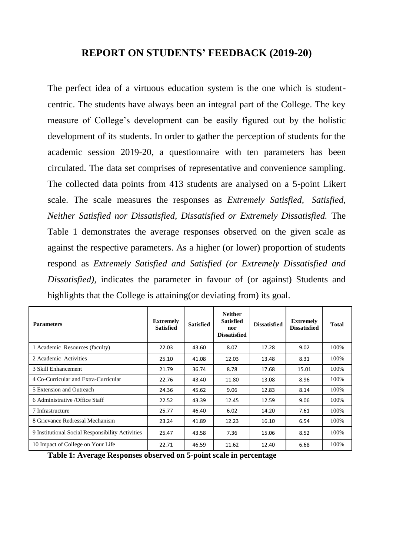## **REPORT ON STUDENTS' FEEDBACK (2019-20)**

The perfect idea of a virtuous education system is the one which is studentcentric. The students have always been an integral part of the College. The key measure of College's development can be easily figured out by the holistic development of its students. In order to gather the perception of students for the academic session 2019-20, a questionnaire with ten parameters has been circulated. The data set comprises of representative and convenience sampling. The collected data points from 413 students are analysed on a 5-point Likert scale. The scale measures the responses as *Extremely Satisfied, Satisfied, Neither Satisfied nor Dissatisfied, Dissatisfied or Extremely Dissatisfied.* The Table 1 demonstrates the average responses observed on the given scale as against the respective parameters. As a higher (or lower) proportion of students respond as *Extremely Satisfied and Satisfied (or Extremely Dissatisfied and Dissatisfied),* indicates the parameter in favour of (or against) Students and highlights that the College is attaining(or deviating from) its goal.

| <b>Parameters</b>                                | <b>Extremely</b><br><b>Satisfied</b> | <b>Satisfied</b> | <b>Neither</b><br><b>Satisfied</b><br>nor<br><b>Dissatisfied</b> | <b>Dissatisfied</b> | <b>Extremely</b><br><b>Dissatisfied</b> | <b>Total</b> |
|--------------------------------------------------|--------------------------------------|------------------|------------------------------------------------------------------|---------------------|-----------------------------------------|--------------|
| 1 Academic Resources (faculty)                   | 22.03                                | 43.60            | 8.07                                                             | 17.28               | 9.02                                    | 100%         |
| 2 Academic Activities                            | 25.10                                | 41.08            | 12.03                                                            | 13.48               | 8.31                                    | 100%         |
| 3 Skill Enhancement                              | 21.79                                | 36.74            | 8.78                                                             | 17.68               | 15.01                                   | 100%         |
| 4 Co-Curricular and Extra-Curricular             | 22.76                                | 43.40            | 11.80                                                            | 13.08               | 8.96                                    | 100%         |
| 5 Extension and Outreach                         | 24.36                                | 45.62            | 9.06                                                             | 12.83               | 8.14                                    | 100%         |
| 6 Administrative / Office Staff                  | 22.52                                | 43.39            | 12.45                                                            | 12.59               | 9.06                                    | 100%         |
| 7 Infrastructure                                 | 25.77                                | 46.40            | 6.02                                                             | 14.20               | 7.61                                    | 100%         |
| 8 Grievance Redressal Mechanism                  | 23.24                                | 41.89            | 12.23                                                            | 16.10               | 6.54                                    | 100%         |
| 9 Institutional Social Responsibility Activities | 25.47                                | 43.58            | 7.36                                                             | 15.06               | 8.52                                    | 100%         |
| 10 Impact of College on Your Life                | 22.71                                | 46.59            | 11.62                                                            | 12.40               | 6.68                                    | 100%         |

**Table 1: Average Responses observed on 5-point scale in percentage**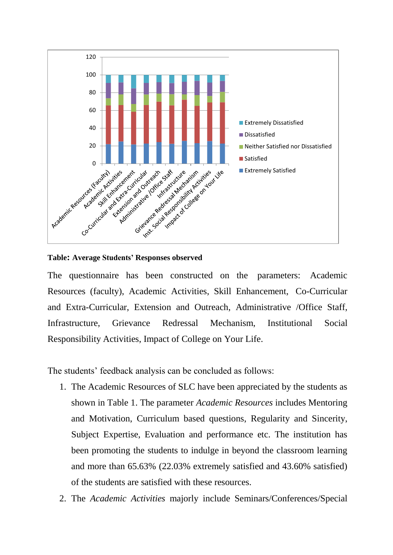

**Table: Average Students' Responses observed** 

The questionnaire has been constructed on the parameters: Academic Resources (faculty), Academic Activities, Skill Enhancement, Co-Curricular and Extra-Curricular, Extension and Outreach, Administrative /Office Staff, Infrastructure, Grievance Redressal Mechanism, Institutional Social Responsibility Activities, Impact of College on Your Life.

The students' feedback analysis can be concluded as follows:

- 1. The Academic Resources of SLC have been appreciated by the students as shown in Table 1. The parameter *Academic Resources* includes Mentoring and Motivation, Curriculum based questions, Regularity and Sincerity, Subject Expertise, Evaluation and performance etc. The institution has been promoting the students to indulge in beyond the classroom learning and more than 65.63% (22.03% extremely satisfied and 43.60% satisfied) of the students are satisfied with these resources.
- 2. The *Academic Activities* majorly include Seminars/Conferences/Special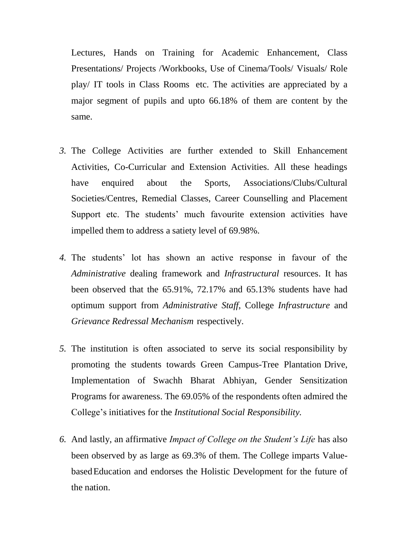Lectures, Hands on Training for Academic Enhancement, Class Presentations/ Projects /Workbooks, Use of Cinema/Tools/ Visuals/ Role play/ IT tools in Class Rooms etc. The activities are appreciated by a major segment of pupils and upto 66.18% of them are content by the same.

- *3.* The College Activities are further extended to Skill Enhancement Activities, Co-Curricular and Extension Activities. All these headings have enquired about the Sports, Associations/Clubs/Cultural Societies/Centres, Remedial Classes, Career Counselling and Placement Support etc. The students' much favourite extension activities have impelled them to address a satiety level of 69.98%.
- *4.* The students' lot has shown an active response in favour of the *Administrative* dealing framework and *Infrastructural* resources. It has been observed that the 65.91%, 72.17% and 65.13% students have had optimum support from *Administrative Staff*, College *Infrastructure* and *Grievance Redressal Mechanism* respectively.
- *5.* The institution is often associated to serve its social responsibility by promoting the students towards Green Campus-Tree Plantation Drive, Implementation of Swachh Bharat Abhiyan, Gender Sensitization Programs for awareness. The 69.05% of the respondents often admired the College's initiatives for the *Institutional Social Responsibility.*
- *6.* And lastly, an affirmative *Impact of College on the Student's Life* has also been observed by as large as 69.3% of them. The College imparts ValuebasedEducation and endorses the Holistic Development for the future of the nation.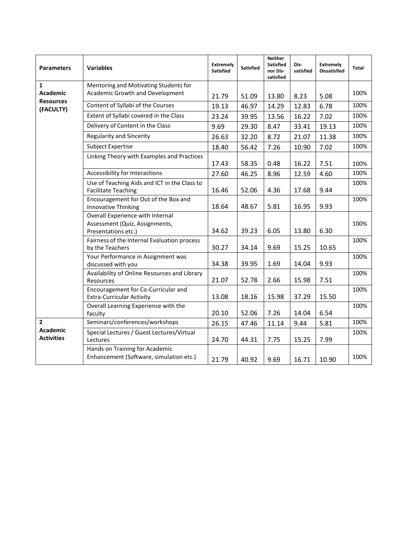| <b>Parameters</b>                                                | <b>Variables</b>                                                                          | <b>Extremely</b><br><b>Satisfied</b> | <b>Satisfied</b> | <b>Neither</b><br><b>Satisfied</b><br>nor Dis-<br>satisfied | Dis-<br>satisfied | <b>Extremely</b><br><b>Dissatisfied</b> | <b>Total</b> |
|------------------------------------------------------------------|-------------------------------------------------------------------------------------------|--------------------------------------|------------------|-------------------------------------------------------------|-------------------|-----------------------------------------|--------------|
| $\mathbf{1}$<br><b>Academic</b><br><b>Resources</b><br>(FACULTY) | Mentoring and Motivating Students for                                                     |                                      |                  |                                                             |                   |                                         |              |
|                                                                  | Academic Growth and Development                                                           | 21.79                                | 51.09            | 13.80                                                       | 8.23              | 5.08                                    | 100%         |
|                                                                  | Content of Syllabi of the Courses                                                         | 19.13                                | 46.97            | 14.29                                                       | 12.83             | 6.78                                    | 100%         |
|                                                                  | Extent of Syllabi covered in the Class                                                    | 23.24                                | 39.95            | 13.56                                                       | 16.22             | 7.02                                    | 100%         |
|                                                                  | Delivery of Content in the Class                                                          | 9.69                                 | 29.30            | 8.47                                                        | 33.41             | 19.13                                   | 100%         |
|                                                                  | <b>Regularity and Sincerity</b>                                                           | 26.63                                | 32.20            | 8.72                                                        | 21.07             | 11.38                                   | 100%         |
|                                                                  | <b>Subject Expertise</b>                                                                  | 18.40                                | 56.42            | 7.26                                                        | 10.90             | 7.02                                    | 100%         |
|                                                                  | Linking Theory with Examples and Practices                                                | 17.43                                | 58.35            | 0.48                                                        | 16.22             | 7.51                                    | 100%         |
|                                                                  | Accessibility for Interactions                                                            | 27.60                                | 46.25            | 8.96                                                        | 12.59             | 4.60                                    | 100%         |
|                                                                  | Use of Teaching Aids and ICT in the Class to<br><b>Facilitate Teaching</b>                | 16.46                                | 52.06            | 4.36                                                        | 17.68             | 9.44                                    | 100%         |
|                                                                  | Encouragement for Out of the Box and<br><b>Innovative Thinking</b>                        | 18.64                                | 48.67            | 5.81                                                        | 16.95             | 9.93                                    | 100%         |
|                                                                  | Overall Experience with Internal<br>Assessment (Quiz, Assignments,<br>Presentations etc.) | 34.62                                | 39.23            | 6.05                                                        | 13.80             | 6.30                                    | 100%         |
|                                                                  | Fairness of the Internal Evaluation process<br>by the Teachers                            | 30.27                                | 34.14            | 9.69                                                        | 15.25             | 10.65                                   | 100%         |
|                                                                  | Your Performance in Assignment was<br>discussed with you                                  | 34.38                                | 39.95            | 1.69                                                        | 14.04             | 9.93                                    | 100%         |
|                                                                  | Availability of Online Resources and Library<br>Resources                                 | 21.07                                | 52.78            | 2.66                                                        | 15.98             | 7.51                                    | 100%         |
|                                                                  | Encouragement for Co-Curricular and<br><b>Extra-Curricular Activity</b>                   | 13.08                                | 18.16            | 15.98                                                       | 37.29             | 15.50                                   | 100%         |
|                                                                  | Overall Learning Experience with the<br>faculty                                           | 20.10                                | 52.06            | 7.26                                                        | 14.04             | 6.54                                    | 100%         |
| $\mathbf{z}$<br><b>Academic</b><br><b>Activities</b>             | Seminars/conferences/workshops                                                            | 26.15                                | 47.46            | 11.14                                                       | 9.44              | 5.81                                    | 100%         |
|                                                                  | Special Lectures / Guest Lectures/Virtual<br>Lectures                                     | 24.70                                | 44.31            | 7.75                                                        | 15.25             | 7.99                                    | 100%         |
|                                                                  | Hands on Training for Academic<br>Enhancement (Software, simulation etc.)                 | 21.79                                | 40.92            | 9.69                                                        | 16.71             | 10.90                                   | 100%         |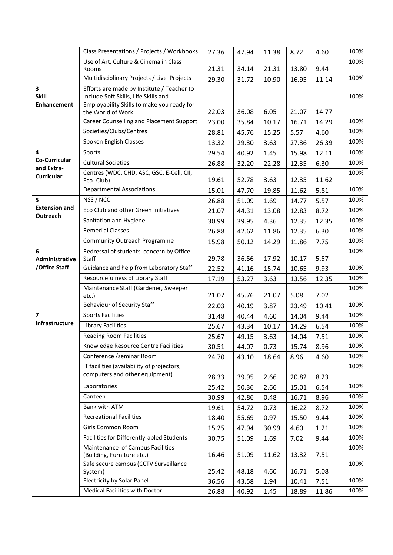|                                                               | Class Presentations / Projects / Workbooks                                                                                                            | 27.36 | 47.94 | 11.38 | 8.72  | 4.60  | 100% |
|---------------------------------------------------------------|-------------------------------------------------------------------------------------------------------------------------------------------------------|-------|-------|-------|-------|-------|------|
|                                                               | Use of Art, Culture & Cinema in Class                                                                                                                 |       |       |       |       |       | 100% |
|                                                               | Rooms                                                                                                                                                 | 21.31 | 34.14 | 21.31 | 13.80 | 9.44  |      |
|                                                               | Multidisciplinary Projects / Live Projects                                                                                                            | 29.30 | 31.72 | 10.90 | 16.95 | 11.14 | 100% |
| $\overline{\mathbf{3}}$<br><b>Skill</b><br><b>Enhancement</b> | Efforts are made by Institute / Teacher to<br>Include Soft Skills, Life Skills and<br>Employability Skills to make you ready for<br>the World of Work | 22.03 | 36.08 | 6.05  | 21.07 | 14.77 | 100% |
|                                                               | <b>Career Counselling and Placement Support</b>                                                                                                       | 23.00 | 35.84 | 10.17 | 16.71 | 14.29 | 100% |
|                                                               | Societies/Clubs/Centres                                                                                                                               | 28.81 | 45.76 | 15.25 | 5.57  | 4.60  | 100% |
|                                                               | Spoken English Classes                                                                                                                                | 13.32 | 29.30 | 3.63  | 27.36 | 26.39 | 100% |
| 4                                                             | Sports                                                                                                                                                | 29.54 | 40.92 | 1.45  | 15.98 | 12.11 | 100% |
| <b>Co-Curricular</b>                                          | <b>Cultural Societies</b>                                                                                                                             | 26.88 | 32.20 | 22.28 | 12.35 | 6.30  | 100% |
| and Extra-                                                    | Centres (WDC, CHD, ASC, GSC, E-Cell, CII,                                                                                                             |       |       |       |       |       | 100% |
| <b>Curricular</b>                                             | Eco-Club)                                                                                                                                             | 19.61 | 52.78 | 3.63  | 12.35 | 11.62 |      |
|                                                               | <b>Departmental Associations</b>                                                                                                                      | 15.01 | 47.70 | 19.85 | 11.62 | 5.81  | 100% |
| 5                                                             | NSS / NCC                                                                                                                                             | 26.88 | 51.09 | 1.69  | 14.77 | 5.57  | 100% |
| <b>Extension and</b>                                          | Eco Club and other Green Initiatives                                                                                                                  | 21.07 | 44.31 | 13.08 | 12.83 | 8.72  | 100% |
| Outreach                                                      | Sanitation and Hygiene                                                                                                                                | 30.99 | 39.95 | 4.36  | 12.35 | 12.35 | 100% |
|                                                               | <b>Remedial Classes</b>                                                                                                                               | 26.88 | 42.62 | 11.86 | 12.35 | 6.30  | 100% |
|                                                               | <b>Community Outreach Programme</b>                                                                                                                   | 15.98 | 50.12 | 14.29 | 11.86 | 7.75  | 100% |
| 6                                                             | Redressal of students' concern by Office                                                                                                              |       |       |       |       |       | 100% |
| Administrative<br>/Office Staff                               | Staff                                                                                                                                                 | 29.78 | 36.56 | 17.92 | 10.17 | 5.57  |      |
|                                                               | Guidance and help from Laboratory Staff                                                                                                               | 22.52 | 41.16 | 15.74 | 10.65 | 9.93  | 100% |
|                                                               | Resourcefulness of Library Staff                                                                                                                      | 17.19 | 53.27 | 3.63  | 13.56 | 12.35 | 100% |
|                                                               | Maintenance Staff (Gardener, Sweeper                                                                                                                  |       |       |       |       |       | 100% |
|                                                               | etc.)                                                                                                                                                 | 21.07 | 45.76 | 21.07 | 5.08  | 7.02  |      |
|                                                               | <b>Behaviour of Security Staff</b>                                                                                                                    | 22.03 | 40.19 | 3.87  | 23.49 | 10.41 | 100% |
| $\overline{7}$<br>Infrastructure                              | <b>Sports Facilities</b>                                                                                                                              | 31.48 | 40.44 | 4.60  | 14.04 | 9.44  | 100% |
|                                                               | <b>Library Facilities</b>                                                                                                                             | 25.67 | 43.34 | 10.17 | 14.29 | 6.54  | 100% |
|                                                               | <b>Reading Room Facilities</b>                                                                                                                        | 25.67 | 49.15 | 3.63  | 14.04 | 7.51  | 100% |
|                                                               | Knowledge Resource Centre Facilities                                                                                                                  | 30.51 | 44.07 | 0.73  | 15.74 | 8.96  | 100% |
|                                                               | Conference /seminar Room                                                                                                                              | 24.70 | 43.10 | 18.64 | 8.96  | 4.60  | 100% |
|                                                               | IT facilities (availability of projectors,<br>computers and other equipment)                                                                          |       |       |       |       |       | 100% |
|                                                               |                                                                                                                                                       | 28.33 | 39.95 | 2.66  | 20.82 | 8.23  |      |
|                                                               | Laboratories                                                                                                                                          | 25.42 | 50.36 | 2.66  | 15.01 | 6.54  | 100% |
|                                                               | Canteen                                                                                                                                               | 30.99 | 42.86 | 0.48  | 16.71 | 8.96  | 100% |
|                                                               | Bank with ATM                                                                                                                                         | 19.61 | 54.72 | 0.73  | 16.22 | 8.72  | 100% |
|                                                               | <b>Recreational Facilities</b>                                                                                                                        | 18.40 | 55.69 | 0.97  | 15.50 | 9.44  | 100% |
|                                                               | Girls Common Room                                                                                                                                     | 15.25 | 47.94 | 30.99 | 4.60  | 1.21  | 100% |
|                                                               | Facilities for Differently-abled Students                                                                                                             | 30.75 | 51.09 | 1.69  | 7.02  | 9.44  | 100% |
|                                                               | Maintenance of Campus Facilities<br>(Building, Furniture etc.)                                                                                        | 16.46 | 51.09 | 11.62 | 13.32 | 7.51  | 100% |
|                                                               | Safe secure campus (CCTV Surveillance<br>System)                                                                                                      | 25.42 | 48.18 | 4.60  | 16.71 | 5.08  | 100% |
|                                                               | <b>Electricity by Solar Panel</b>                                                                                                                     | 36.56 | 43.58 | 1.94  | 10.41 | 7.51  | 100% |
|                                                               | Medical Facilities with Doctor                                                                                                                        | 26.88 | 40.92 | 1.45  | 18.89 | 11.86 | 100% |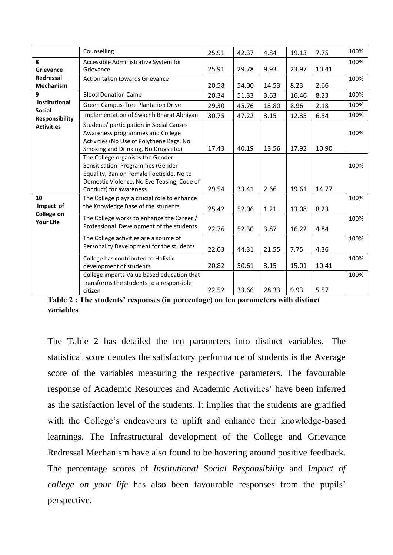|                                                   | Counselling                                                                                                                                                                              | 25.91 | 42.37 | 4.84  | 19.13 | 7.75  | 100% |
|---------------------------------------------------|------------------------------------------------------------------------------------------------------------------------------------------------------------------------------------------|-------|-------|-------|-------|-------|------|
| 8<br>Grievance                                    | Accessible Administrative System for<br>Grievance                                                                                                                                        | 25.91 | 29.78 | 9.93  | 23.97 | 10.41 | 100% |
| <b>Redressal</b><br><b>Mechanism</b>              | Action taken towards Grievance                                                                                                                                                           | 20.58 | 54.00 | 14.53 | 8.23  | 2.66  | 100% |
| 9                                                 | <b>Blood Donation Camp</b>                                                                                                                                                               | 20.34 | 51.33 | 3.63  | 16.46 | 8.23  | 100% |
| Institutional                                     | <b>Green Campus-Tree Plantation Drive</b>                                                                                                                                                | 29.30 | 45.76 | 13.80 | 8.96  | 2.18  | 100% |
| <b>Social</b><br><b>Responsibility</b>            | Implementation of Swachh Bharat Abhiyan                                                                                                                                                  | 30.75 | 47.22 | 3.15  | 12.35 | 6.54  | 100% |
| <b>Activities</b>                                 | Students' participation in Social Causes<br>Awareness programmes and College<br>Activities (No Use of Polythene Bags, No<br>Smoking and Drinking, No Drugs etc.)                         | 17.43 | 40.19 | 13.56 | 17.92 | 10.90 | 100% |
|                                                   | The College organises the Gender<br>Sensitisation Programmes (Gender<br>Equality, Ban on Female Foeticide, No to<br>Domestic Violence, No Eve Teasing, Code of<br>Conduct) for awareness | 29.54 | 33.41 | 2.66  | 19.61 | 14.77 | 100% |
| 10<br>Impact of<br>College on<br><b>Your Life</b> | The College plays a crucial role to enhance<br>the Knowledge Base of the students                                                                                                        | 25.42 | 52.06 | 1.21  | 13.08 | 8.23  | 100% |
|                                                   | The College works to enhance the Career /<br>Professional Development of the students                                                                                                    | 22.76 | 52.30 | 3.87  | 16.22 | 4.84  | 100% |
|                                                   | The College activities are a source of<br>Personality Development for the students                                                                                                       | 22.03 | 44.31 | 21.55 | 7.75  | 4.36  | 100% |
|                                                   | College has contributed to Holistic<br>development of students                                                                                                                           | 20.82 | 50.61 | 3.15  | 15.01 | 10.41 | 100% |
|                                                   | College imparts Value based education that<br>transforms the students to a responsible<br>citizen                                                                                        | 22.52 | 33.66 | 28.33 | 9.93  | 5.57  | 100% |

**Table 2 : The students' responses (in percentage) on ten parameters with distinct variables**

The Table 2 has detailed the ten parameters into distinct variables. The statistical score denotes the satisfactory performance of students is the Average score of the variables measuring the respective parameters. The favourable response of Academic Resources and Academic Activities' have been inferred as the satisfaction level of the students. It implies that the students are gratified with the College's endeavours to uplift and enhance their knowledge-based learnings. The Infrastructural development of the College and Grievance Redressal Mechanism have also found to be hovering around positive feedback. The percentage scores of *Institutional Social Responsibility* and *Impact of college on your life* has also been favourable responses from the pupils' perspective.